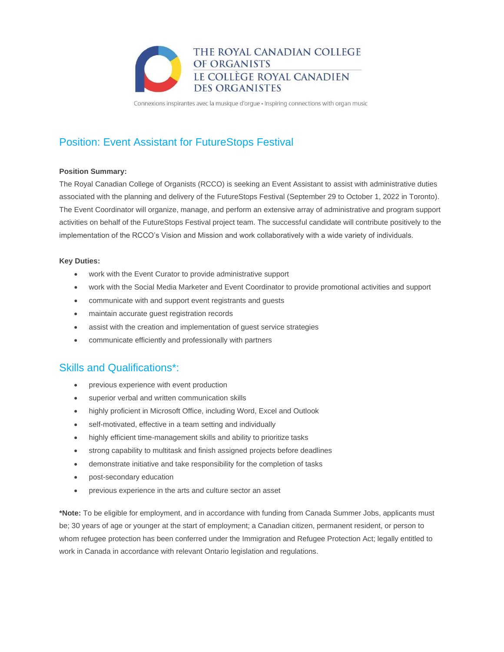

Connexions inspirantes avec la musique d'orgue · Inspiring connections with organ music

# Position: Event Assistant for FutureStops Festival

### **Position Summary:**

The Royal Canadian College of Organists (RCCO) is seeking an Event Assistant to assist with administrative duties associated with the planning and delivery of the FutureStops Festival (September 29 to October 1, 2022 in Toronto). The Event Coordinator will organize, manage, and perform an extensive array of administrative and program support activities on behalf of the FutureStops Festival project team. The successful candidate will contribute positively to the implementation of the RCCO's Vision and Mission and work collaboratively with a wide variety of individuals.

#### **Key Duties:**

- work with the Event Curator to provide administrative support
- work with the Social Media Marketer and Event Coordinator to provide promotional activities and support
- communicate with and support event registrants and guests
- maintain accurate guest registration records
- assist with the creation and implementation of guest service strategies
- communicate efficiently and professionally with partners

### Skills and Qualifications\*:

- previous experience with event production
- superior verbal and written communication skills
- highly proficient in Microsoft Office, including Word, Excel and Outlook
- self-motivated, effective in a team setting and individually
- highly efficient time-management skills and ability to prioritize tasks
- strong capability to multitask and finish assigned projects before deadlines
- demonstrate initiative and take responsibility for the completion of tasks
- post-secondary education
- previous experience in the arts and culture sector an asset

**\*Note:** To be eligible for employment, and in accordance with funding from Canada Summer Jobs, applicants must be; 30 years of age or younger at the start of employment; a Canadian citizen, permanent resident, or person to whom refugee protection has been conferred under the Immigration and Refugee Protection Act; legally entitled to work in Canada in accordance with relevant Ontario legislation and regulations.